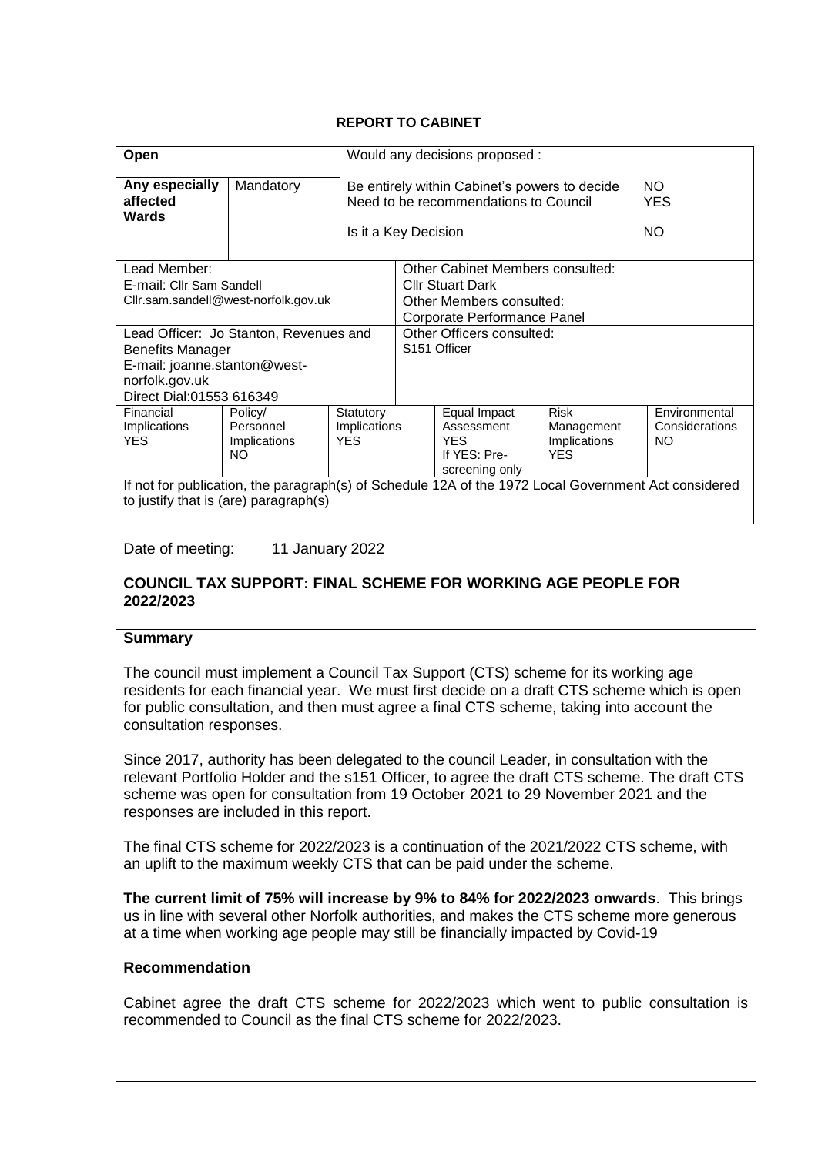## **REPORT TO CABINET**

| Open                                                                                                                                          |                                        |              |                                                                                                                                            | Would any decisions proposed :          |              |                |  |  |  |
|-----------------------------------------------------------------------------------------------------------------------------------------------|----------------------------------------|--------------|--------------------------------------------------------------------------------------------------------------------------------------------|-----------------------------------------|--------------|----------------|--|--|--|
| Any especially<br>affected<br><b>Wards</b>                                                                                                    | Mandatory                              |              | Be entirely within Cabinet's powers to decide<br>NO.<br>Need to be recommendations to Council<br><b>YES</b><br>NO.<br>Is it a Key Decision |                                         |              |                |  |  |  |
| Lead Member:                                                                                                                                  |                                        |              |                                                                                                                                            | <b>Other Cabinet Members consulted:</b> |              |                |  |  |  |
| E-mail: Cllr Sam Sandell                                                                                                                      |                                        |              |                                                                                                                                            | <b>Cllr Stuart Dark</b>                 |              |                |  |  |  |
|                                                                                                                                               | Cllr.sam.sandell@west-norfolk.gov.uk   |              |                                                                                                                                            | Other Members consulted:                |              |                |  |  |  |
|                                                                                                                                               |                                        |              | Corporate Performance Panel                                                                                                                |                                         |              |                |  |  |  |
|                                                                                                                                               | Lead Officer: Jo Stanton, Revenues and |              | Other Officers consulted:                                                                                                                  |                                         |              |                |  |  |  |
| <b>Benefits Manager</b>                                                                                                                       |                                        |              | S <sub>151</sub> Officer                                                                                                                   |                                         |              |                |  |  |  |
| E-mail: joanne.stanton@west-                                                                                                                  |                                        |              |                                                                                                                                            |                                         |              |                |  |  |  |
| norfolk.gov.uk                                                                                                                                |                                        |              |                                                                                                                                            |                                         |              |                |  |  |  |
| Direct Dial:01553 616349                                                                                                                      |                                        |              |                                                                                                                                            |                                         |              |                |  |  |  |
| Financial                                                                                                                                     | Policy/                                | Statutory    |                                                                                                                                            | Equal Impact                            | <b>Risk</b>  | Environmental  |  |  |  |
| Implications                                                                                                                                  | Personnel                              | Implications |                                                                                                                                            | Assessment                              | Management   | Considerations |  |  |  |
| <b>YES</b>                                                                                                                                    | Implications                           | <b>YFS</b>   |                                                                                                                                            | <b>YFS</b>                              | Implications | NO.            |  |  |  |
|                                                                                                                                               | NO.                                    |              | If YES: Pre-<br><b>YES</b>                                                                                                                 |                                         |              |                |  |  |  |
|                                                                                                                                               | screening only                         |              |                                                                                                                                            |                                         |              |                |  |  |  |
| If not for publication, the paragraph(s) of Schedule 12A of the 1972 Local Government Act considered<br>to justify that is (are) paragraph(s) |                                        |              |                                                                                                                                            |                                         |              |                |  |  |  |

Date of meeting: 11 January 2022

#### **COUNCIL TAX SUPPORT: FINAL SCHEME FOR WORKING AGE PEOPLE FOR 2022/2023**

## **Summary**

The council must implement a Council Tax Support (CTS) scheme for its working age residents for each financial year. We must first decide on a draft CTS scheme which is open for public consultation, and then must agree a final CTS scheme, taking into account the consultation responses.

Since 2017, authority has been delegated to the council Leader, in consultation with the relevant Portfolio Holder and the s151 Officer, to agree the draft CTS scheme. The draft CTS scheme was open for consultation from 19 October 2021 to 29 November 2021 and the responses are included in this report.

The final CTS scheme for 2022/2023 is a continuation of the 2021/2022 CTS scheme, with an uplift to the maximum weekly CTS that can be paid under the scheme.

**The current limit of 75% will increase by 9% to 84% for 2022/2023 onwards**. This brings us in line with several other Norfolk authorities, and makes the CTS scheme more generous at a time when working age people may still be financially impacted by Covid-19

## **Recommendation**

Cabinet agree the draft CTS scheme for 2022/2023 which went to public consultation is recommended to Council as the final CTS scheme for 2022/2023.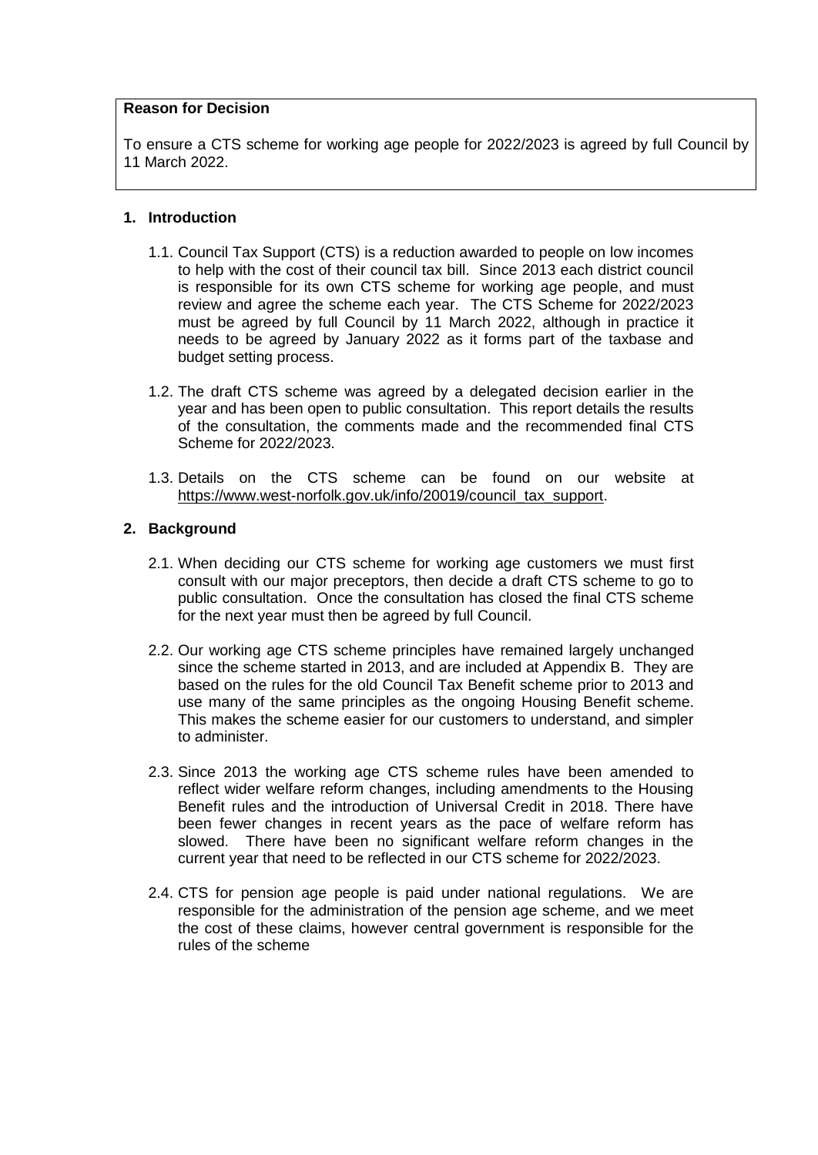#### **Reason for Decision**

To ensure a CTS scheme for working age people for 2022/2023 is agreed by full Council by 11 March 2022.

#### **1. Introduction**

- 1.1. Council Tax Support (CTS) is a reduction awarded to people on low incomes to help with the cost of their council tax bill. Since 2013 each district council is responsible for its own CTS scheme for working age people, and must review and agree the scheme each year. The CTS Scheme for 2022/2023 must be agreed by full Council by 11 March 2022, although in practice it needs to be agreed by January 2022 as it forms part of the taxbase and budget setting process.
- 1.2. The draft CTS scheme was agreed by a delegated decision earlier in the year and has been open to public consultation. This report details the results of the consultation, the comments made and the recommended final CTS Scheme for 2022/2023.
- 1.3. Details on the CTS scheme can be found on our website at [https://www.west-norfolk.gov.uk/info/20019/council\\_tax\\_support.](https://www.west-norfolk.gov.uk/info/20019/council_tax_support)

## **2. Background**

- 2.1. When deciding our CTS scheme for working age customers we must first consult with our major preceptors, then decide a draft CTS scheme to go to public consultation. Once the consultation has closed the final CTS scheme for the next year must then be agreed by full Council.
- 2.2. Our working age CTS scheme principles have remained largely unchanged since the scheme started in 2013, and are included at Appendix B. They are based on the rules for the old Council Tax Benefit scheme prior to 2013 and use many of the same principles as the ongoing Housing Benefit scheme. This makes the scheme easier for our customers to understand, and simpler to administer.
- 2.3. Since 2013 the working age CTS scheme rules have been amended to reflect wider welfare reform changes, including amendments to the Housing Benefit rules and the introduction of Universal Credit in 2018. There have been fewer changes in recent years as the pace of welfare reform has slowed. There have been no significant welfare reform changes in the current year that need to be reflected in our CTS scheme for 2022/2023.
- 2.4. CTS for pension age people is paid under national regulations. We are responsible for the administration of the pension age scheme, and we meet the cost of these claims, however central government is responsible for the rules of the scheme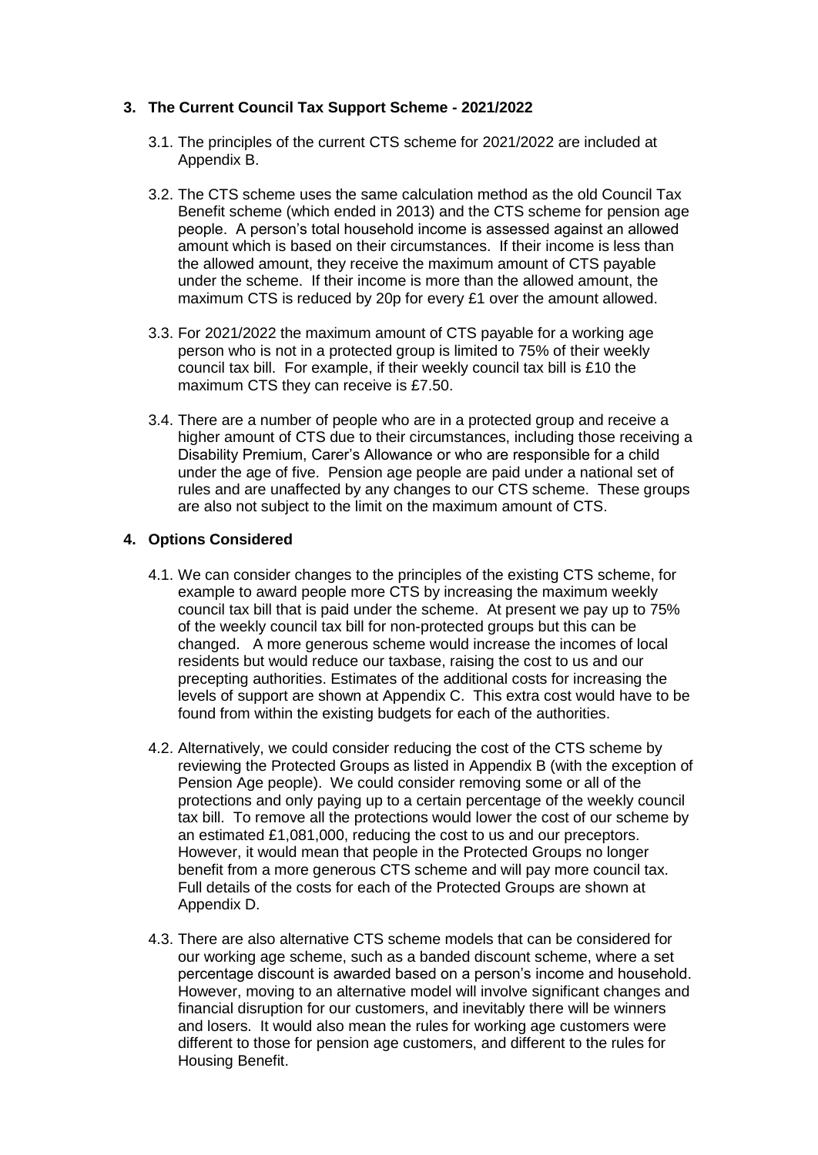#### **3. The Current Council Tax Support Scheme - 2021/2022**

- 3.1. The principles of the current CTS scheme for 2021/2022 are included at Appendix B.
- 3.2. The CTS scheme uses the same calculation method as the old Council Tax Benefit scheme (which ended in 2013) and the CTS scheme for pension age people. A person's total household income is assessed against an allowed amount which is based on their circumstances. If their income is less than the allowed amount, they receive the maximum amount of CTS payable under the scheme. If their income is more than the allowed amount, the maximum CTS is reduced by 20p for every £1 over the amount allowed.
- 3.3. For 2021/2022 the maximum amount of CTS payable for a working age person who is not in a protected group is limited to 75% of their weekly council tax bill. For example, if their weekly council tax bill is £10 the maximum CTS they can receive is £7.50.
- 3.4. There are a number of people who are in a protected group and receive a higher amount of CTS due to their circumstances, including those receiving a Disability Premium, Carer's Allowance or who are responsible for a child under the age of five. Pension age people are paid under a national set of rules and are unaffected by any changes to our CTS scheme. These groups are also not subject to the limit on the maximum amount of CTS.

## **4. Options Considered**

- 4.1. We can consider changes to the principles of the existing CTS scheme, for example to award people more CTS by increasing the maximum weekly council tax bill that is paid under the scheme. At present we pay up to 75% of the weekly council tax bill for non-protected groups but this can be changed. A more generous scheme would increase the incomes of local residents but would reduce our taxbase, raising the cost to us and our precepting authorities. Estimates of the additional costs for increasing the levels of support are shown at Appendix C. This extra cost would have to be found from within the existing budgets for each of the authorities.
- 4.2. Alternatively, we could consider reducing the cost of the CTS scheme by reviewing the Protected Groups as listed in Appendix B (with the exception of Pension Age people). We could consider removing some or all of the protections and only paying up to a certain percentage of the weekly council tax bill. To remove all the protections would lower the cost of our scheme by an estimated £1,081,000, reducing the cost to us and our preceptors. However, it would mean that people in the Protected Groups no longer benefit from a more generous CTS scheme and will pay more council tax. Full details of the costs for each of the Protected Groups are shown at Appendix D.
- 4.3. There are also alternative CTS scheme models that can be considered for our working age scheme, such as a banded discount scheme, where a set percentage discount is awarded based on a person's income and household. However, moving to an alternative model will involve significant changes and financial disruption for our customers, and inevitably there will be winners and losers. It would also mean the rules for working age customers were different to those for pension age customers, and different to the rules for Housing Benefit.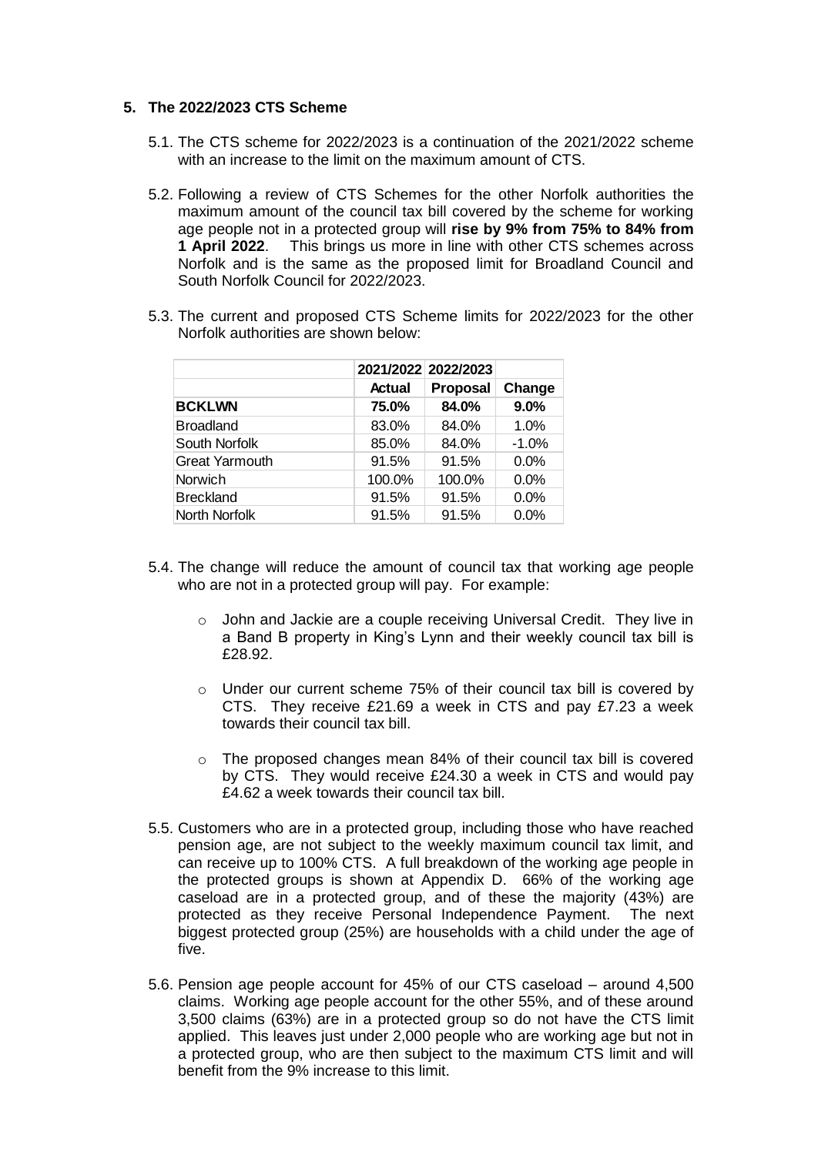#### **5. The 2022/2023 CTS Scheme**

- 5.1. The CTS scheme for 2022/2023 is a continuation of the 2021/2022 scheme with an increase to the limit on the maximum amount of CTS.
- 5.2. Following a review of CTS Schemes for the other Norfolk authorities the maximum amount of the council tax bill covered by the scheme for working age people not in a protected group will **rise by 9% from 75% to 84% from 1 April 2022**. This brings us more in line with other CTS schemes across Norfolk and is the same as the proposed limit for Broadland Council and South Norfolk Council for 2022/2023.
- 5.3. The current and proposed CTS Scheme limits for 2022/2023 for the other Norfolk authorities are shown below:

|                       |               | 2021/2022 2022/2023 |         |
|-----------------------|---------------|---------------------|---------|
|                       | <b>Actual</b> | <b>Proposal</b>     | Change  |
| <b>BCKLWN</b>         | 75.0%         | 84.0%               | 9.0%    |
| <b>Broadland</b>      | 83.0%         | 84.0%               | 1.0%    |
| South Norfolk         | 85.0%         | 84.0%               | $-1.0%$ |
| <b>Great Yarmouth</b> | 91.5%         | 91.5%               | $0.0\%$ |
| <b>Norwich</b>        | 100.0%        | 100.0%              | 0.0%    |
| <b>Breckland</b>      | 91.5%         | 91.5%               | 0.0%    |
| North Norfolk         | 91.5%         | 91.5%               | 0.0%    |

- 5.4. The change will reduce the amount of council tax that working age people who are not in a protected group will pay. For example:
	- o John and Jackie are a couple receiving Universal Credit. They live in a Band B property in King's Lynn and their weekly council tax bill is £28.92.
	- o Under our current scheme 75% of their council tax bill is covered by CTS. They receive £21.69 a week in CTS and pay £7.23 a week towards their council tax bill.
	- o The proposed changes mean 84% of their council tax bill is covered by CTS. They would receive £24.30 a week in CTS and would pay £4.62 a week towards their council tax bill.
- 5.5. Customers who are in a protected group, including those who have reached pension age, are not subject to the weekly maximum council tax limit, and can receive up to 100% CTS. A full breakdown of the working age people in the protected groups is shown at Appendix D. 66% of the working age caseload are in a protected group, and of these the majority (43%) are protected as they receive Personal Independence Payment. The next biggest protected group (25%) are households with a child under the age of five.
- 5.6. Pension age people account for 45% of our CTS caseload around 4,500 claims. Working age people account for the other 55%, and of these around 3,500 claims (63%) are in a protected group so do not have the CTS limit applied. This leaves just under 2,000 people who are working age but not in a protected group, who are then subject to the maximum CTS limit and will benefit from the 9% increase to this limit.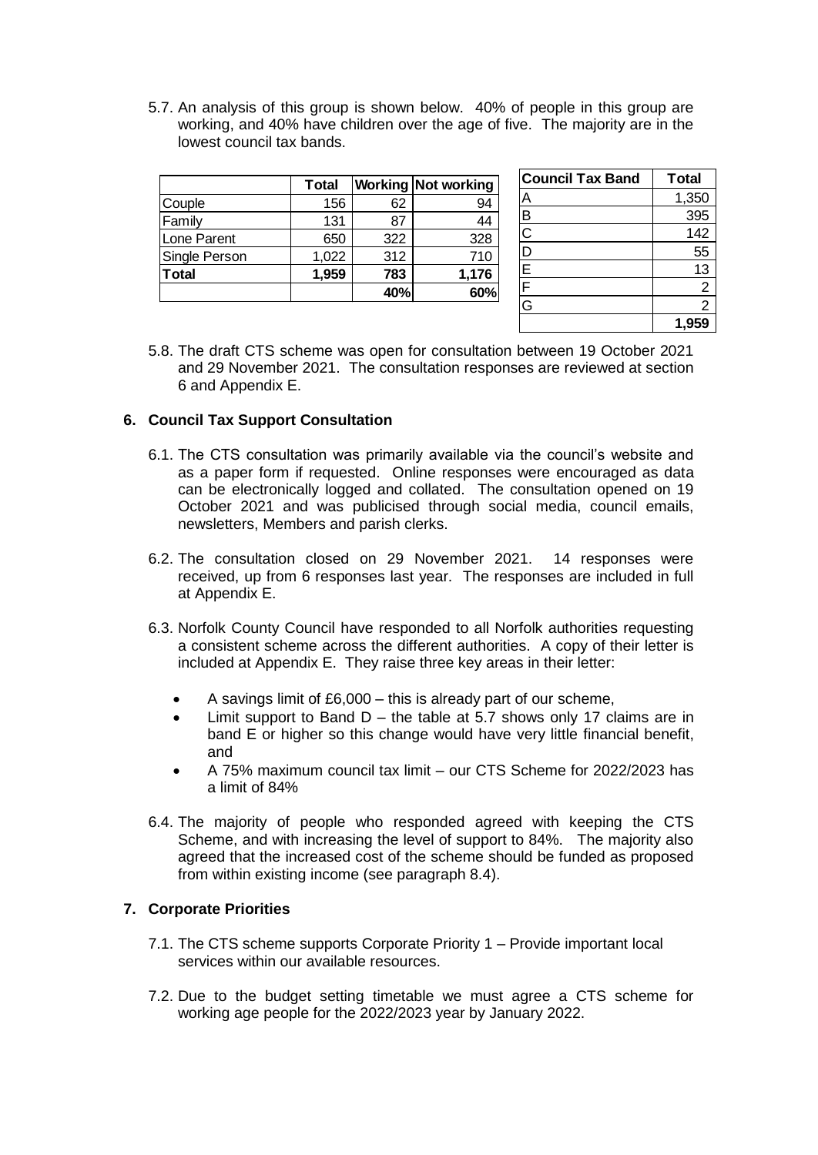5.7. An analysis of this group is shown below. 40% of people in this group are working, and 40% have children over the age of five. The majority are in the lowest council tax bands.

| Total |     | <b>Working Not working</b> |
|-------|-----|----------------------------|
| 156   | 62  | 94                         |
| 131   | 87  | 44                         |
| 650   | 322 | 328                        |
| 1,022 | 312 | 710                        |
| 1,959 | 783 | 1,176                      |
|       |     | 60%                        |
|       |     | 40%                        |

| <b>Council Tax Band</b>             | <b>Total</b> |
|-------------------------------------|--------------|
| Д                                   | 1,350        |
| B                                   | 395          |
| $\overline{C}$                      | 142          |
| $\overline{D}$                      | 55           |
| $\frac{\overline{E}}{\overline{F}}$ | 13           |
|                                     | 2            |
| $\overline{\mathsf{G}}$             | 2            |
|                                     | 1,95         |

5.8. The draft CTS scheme was open for consultation between 19 October 2021 and 29 November 2021. The consultation responses are reviewed at section 6 and Appendix E.

## **6. Council Tax Support Consultation**

- 6.1. The CTS consultation was primarily available via the council's website and as a paper form if requested. Online responses were encouraged as data can be electronically logged and collated. The consultation opened on 19 October 2021 and was publicised through social media, council emails, newsletters, Members and parish clerks.
- 6.2. The consultation closed on 29 November 2021. 14 responses were received, up from 6 responses last year. The responses are included in full at Appendix E.
- 6.3. Norfolk County Council have responded to all Norfolk authorities requesting a consistent scheme across the different authorities. A copy of their letter is included at Appendix E. They raise three key areas in their letter:
	- A savings limit of £6,000 this is already part of our scheme,
	- $\bullet$  Limit support to Band D the table at 5.7 shows only 17 claims are in band E or higher so this change would have very little financial benefit, and
	- A 75% maximum council tax limit our CTS Scheme for 2022/2023 has a limit of 84%
- 6.4. The majority of people who responded agreed with keeping the CTS Scheme, and with increasing the level of support to 84%. The majority also agreed that the increased cost of the scheme should be funded as proposed from within existing income (see paragraph 8.4).

## **7. Corporate Priorities**

- 7.1. The CTS scheme supports Corporate Priority 1 Provide important local services within our available resources.
- 7.2. Due to the budget setting timetable we must agree a CTS scheme for working age people for the 2022/2023 year by January 2022.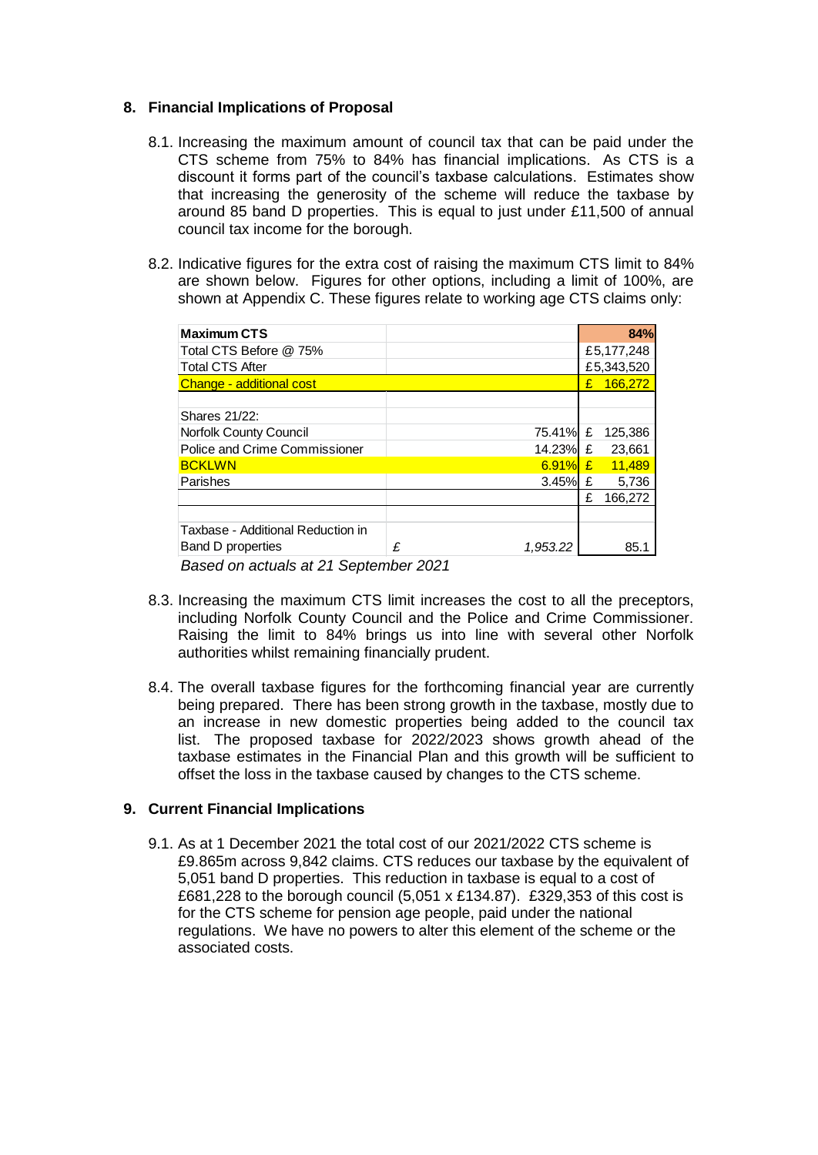#### **8. Financial Implications of Proposal**

- 8.1. Increasing the maximum amount of council tax that can be paid under the CTS scheme from 75% to 84% has financial implications. As CTS is a discount it forms part of the council's taxbase calculations. Estimates show that increasing the generosity of the scheme will reduce the taxbase by around 85 band D properties. This is equal to just under £11,500 of annual council tax income for the borough.
- 8.2. Indicative figures for the extra cost of raising the maximum CTS limit to 84% are shown below. Figures for other options, including a limit of 100%, are shown at Appendix C. These figures relate to working age CTS claims only:

|   |          |   | 84%        |
|---|----------|---|------------|
|   |          |   | £5,177,248 |
|   |          |   | £5,343,520 |
|   |          | £ | 166.272    |
|   |          |   |            |
|   |          |   |            |
|   | 75.41%   | £ | 125,386    |
|   | 14.23%   | £ | 23,661     |
|   | 6.91%    | £ | 11,489     |
|   |          |   | 5,736      |
|   |          | £ | 166,272    |
|   |          |   |            |
|   |          |   |            |
| £ | 1.953.22 |   | 85.1       |
|   |          |   | 3.45% $E$  |

 *Based on actuals at 21 September 2021*

- 8.3. Increasing the maximum CTS limit increases the cost to all the preceptors, including Norfolk County Council and the Police and Crime Commissioner. Raising the limit to 84% brings us into line with several other Norfolk authorities whilst remaining financially prudent.
- 8.4. The overall taxbase figures for the forthcoming financial year are currently being prepared. There has been strong growth in the taxbase, mostly due to an increase in new domestic properties being added to the council tax list. The proposed taxbase for 2022/2023 shows growth ahead of the taxbase estimates in the Financial Plan and this growth will be sufficient to offset the loss in the taxbase caused by changes to the CTS scheme.

## **9. Current Financial Implications**

9.1. As at 1 December 2021 the total cost of our 2021/2022 CTS scheme is £9.865m across 9,842 claims. CTS reduces our taxbase by the equivalent of 5,051 band D properties. This reduction in taxbase is equal to a cost of £681,228 to the borough council (5,051 x £134.87). £329,353 of this cost is for the CTS scheme for pension age people, paid under the national regulations. We have no powers to alter this element of the scheme or the associated costs.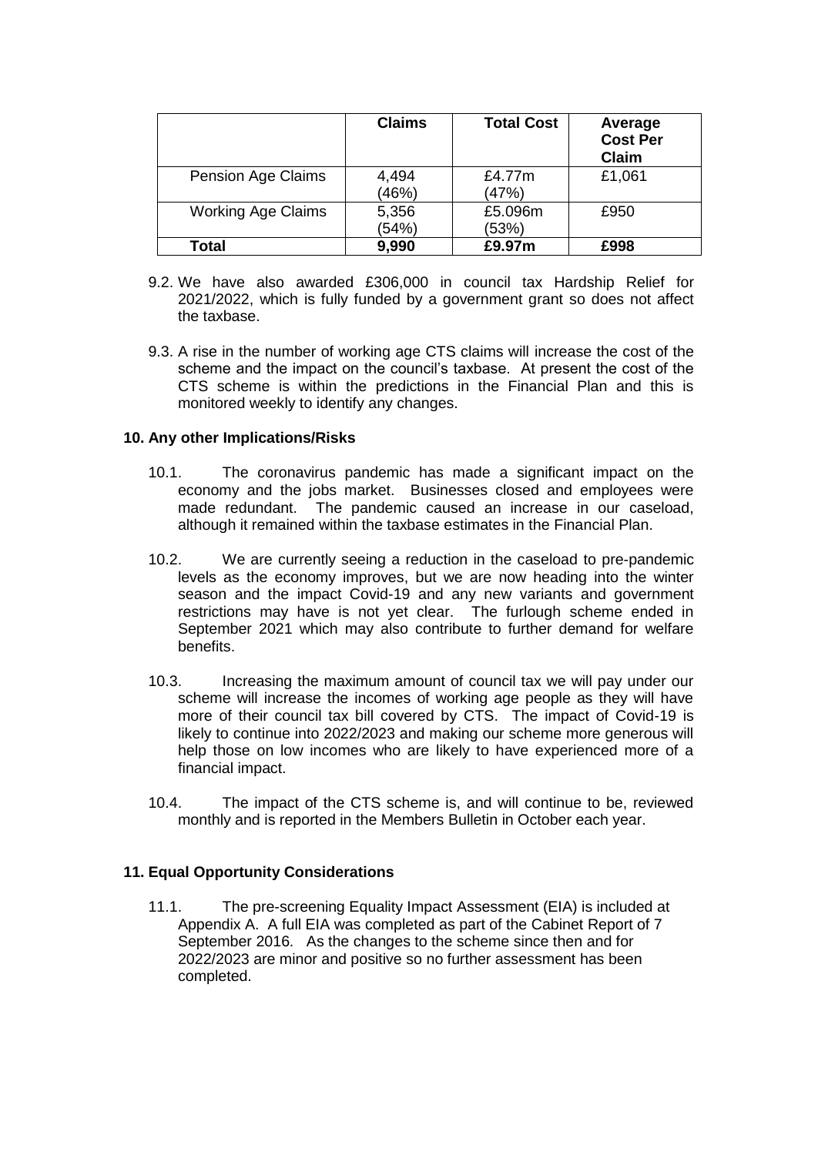|                           | <b>Claims</b>  | <b>Total Cost</b> | Average<br><b>Cost Per</b><br>Claim |
|---------------------------|----------------|-------------------|-------------------------------------|
| <b>Pension Age Claims</b> | 4,494<br>(46%) | £4.77m<br>(47%)   | £1,061                              |
| <b>Working Age Claims</b> | 5,356<br>(54%) | £5.096m<br>(53%)  | £950                                |
| <b>Total</b>              | 9,990          | £9.97m            | £998                                |

- 9.2. We have also awarded £306,000 in council tax Hardship Relief for 2021/2022, which is fully funded by a government grant so does not affect the taxbase.
- 9.3. A rise in the number of working age CTS claims will increase the cost of the scheme and the impact on the council's taxbase. At present the cost of the CTS scheme is within the predictions in the Financial Plan and this is monitored weekly to identify any changes.

## **10. Any other Implications/Risks**

- 10.1. The coronavirus pandemic has made a significant impact on the economy and the jobs market. Businesses closed and employees were made redundant. The pandemic caused an increase in our caseload, although it remained within the taxbase estimates in the Financial Plan.
- 10.2. We are currently seeing a reduction in the caseload to pre-pandemic levels as the economy improves, but we are now heading into the winter season and the impact Covid-19 and any new variants and government restrictions may have is not yet clear. The furlough scheme ended in September 2021 which may also contribute to further demand for welfare benefits.
- 10.3. Increasing the maximum amount of council tax we will pay under our scheme will increase the incomes of working age people as they will have more of their council tax bill covered by CTS. The impact of Covid-19 is likely to continue into 2022/2023 and making our scheme more generous will help those on low incomes who are likely to have experienced more of a financial impact.
- 10.4. The impact of the CTS scheme is, and will continue to be, reviewed monthly and is reported in the Members Bulletin in October each year.

## **11. Equal Opportunity Considerations**

11.1. The pre-screening Equality Impact Assessment (EIA) is included at Appendix A. A full EIA was completed as part of the Cabinet Report of 7 September 2016. As the changes to the scheme since then and for 2022/2023 are minor and positive so no further assessment has been completed.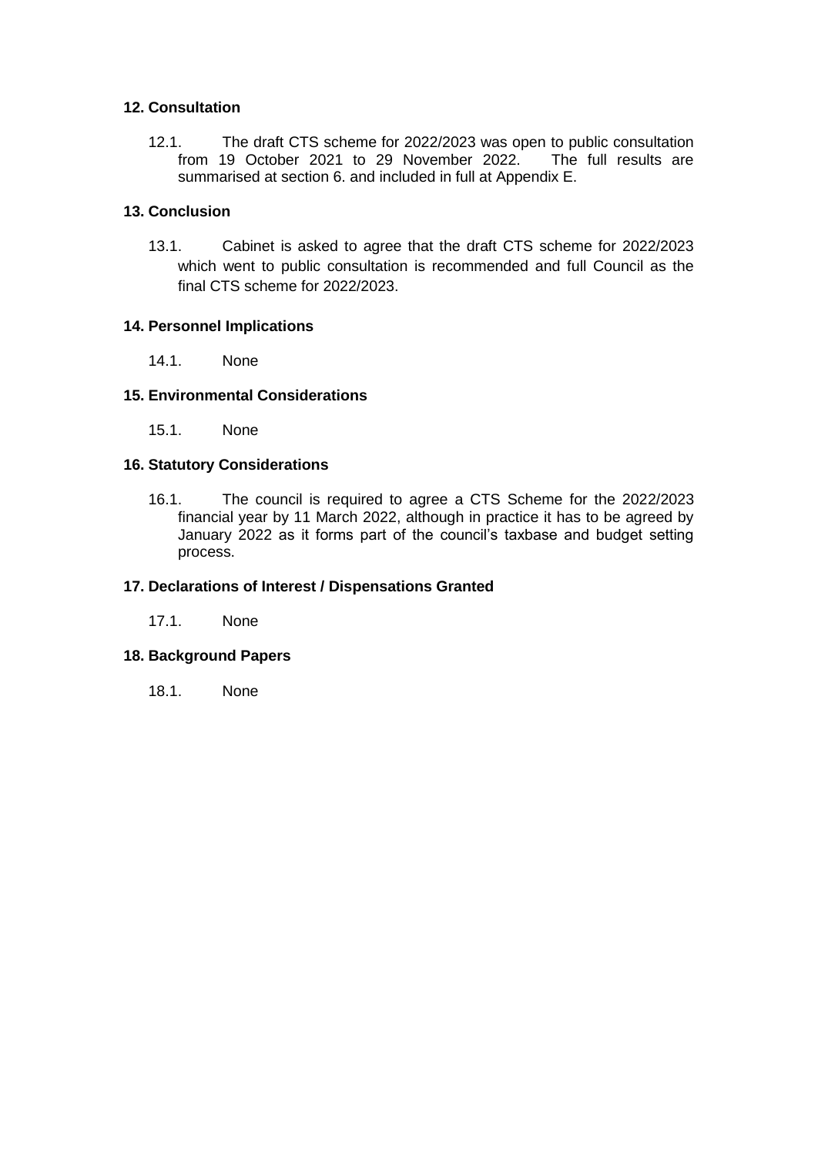## **12. Consultation**

12.1. The draft CTS scheme for 2022/2023 was open to public consultation<br>from 19 October 2021 to 29 November 2022. The full results are from 19 October 2021 to 29 November 2022. summarised at section 6. and included in full at Appendix E.

#### **13. Conclusion**

13.1. Cabinet is asked to agree that the draft CTS scheme for 2022/2023 which went to public consultation is recommended and full Council as the final CTS scheme for 2022/2023.

#### **14. Personnel Implications**

14.1. None

#### **15. Environmental Considerations**

15.1. None

#### **16. Statutory Considerations**

16.1. The council is required to agree a CTS Scheme for the 2022/2023 financial year by 11 March 2022, although in practice it has to be agreed by January 2022 as it forms part of the council's taxbase and budget setting process.

#### **17. Declarations of Interest / Dispensations Granted**

17.1. None

## **18. Background Papers**

18.1. None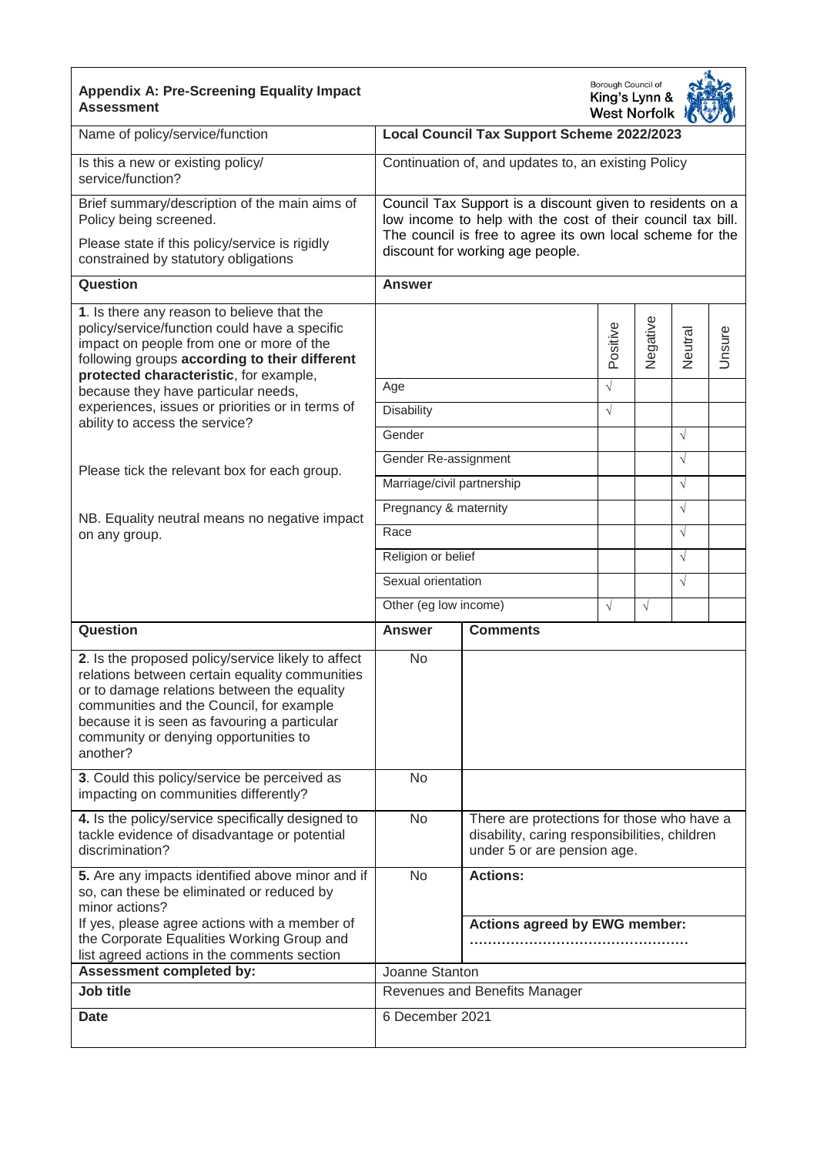| <b>Appendix A: Pre-Screening Equality Impact</b><br><b>Assessment</b>                                                                                                                                                                                                                                | Borough Council of<br>King's Lynn &<br><b>West Norfolk</b>                                                                                                                                                                |                                                         |                                                                                             |            |            |        |  |  |  |  |
|------------------------------------------------------------------------------------------------------------------------------------------------------------------------------------------------------------------------------------------------------------------------------------------------------|---------------------------------------------------------------------------------------------------------------------------------------------------------------------------------------------------------------------------|---------------------------------------------------------|---------------------------------------------------------------------------------------------|------------|------------|--------|--|--|--|--|
| Name of policy/service/function                                                                                                                                                                                                                                                                      |                                                                                                                                                                                                                           | Local Council Tax Support Scheme 2022/2023              |                                                                                             |            |            |        |  |  |  |  |
| Is this a new or existing policy/<br>service/function?                                                                                                                                                                                                                                               |                                                                                                                                                                                                                           | Continuation of, and updates to, an existing Policy     |                                                                                             |            |            |        |  |  |  |  |
| Brief summary/description of the main aims of<br>Policy being screened.<br>Please state if this policy/service is rigidly<br>constrained by statutory obligations                                                                                                                                    | Council Tax Support is a discount given to residents on a<br>low income to help with the cost of their council tax bill.<br>The council is free to agree its own local scheme for the<br>discount for working age people. |                                                         |                                                                                             |            |            |        |  |  |  |  |
| Question                                                                                                                                                                                                                                                                                             | <b>Answer</b>                                                                                                                                                                                                             |                                                         |                                                                                             |            |            |        |  |  |  |  |
| 1. Is there any reason to believe that the<br>policy/service/function could have a specific<br>impact on people from one or more of the<br>following groups according to their different<br>protected characteristic, for example,                                                                   |                                                                                                                                                                                                                           |                                                         | Positive                                                                                    | Negative   | Neutral    | Unsure |  |  |  |  |
| because they have particular needs,                                                                                                                                                                                                                                                                  | Age                                                                                                                                                                                                                       |                                                         | $\sqrt{}$                                                                                   |            |            |        |  |  |  |  |
| experiences, issues or priorities or in terms of<br>ability to access the service?                                                                                                                                                                                                                   | <b>Disability</b>                                                                                                                                                                                                         |                                                         | $\sqrt{}$                                                                                   |            |            |        |  |  |  |  |
|                                                                                                                                                                                                                                                                                                      | Gender                                                                                                                                                                                                                    |                                                         |                                                                                             |            | $\sqrt{ }$ |        |  |  |  |  |
| Please tick the relevant box for each group.                                                                                                                                                                                                                                                         | Gender Re-assignment                                                                                                                                                                                                      |                                                         |                                                                                             |            | $\sqrt{ }$ |        |  |  |  |  |
|                                                                                                                                                                                                                                                                                                      | Marriage/civil partnership                                                                                                                                                                                                |                                                         |                                                                                             |            | $\sqrt{ }$ |        |  |  |  |  |
| NB. Equality neutral means no negative impact                                                                                                                                                                                                                                                        | Pregnancy & maternity                                                                                                                                                                                                     |                                                         |                                                                                             |            | $\sqrt{ }$ |        |  |  |  |  |
| on any group.                                                                                                                                                                                                                                                                                        | Race                                                                                                                                                                                                                      |                                                         |                                                                                             |            | $\sqrt{ }$ |        |  |  |  |  |
|                                                                                                                                                                                                                                                                                                      | Religion or belief<br>Sexual orientation                                                                                                                                                                                  |                                                         |                                                                                             |            | $\sqrt{ }$ |        |  |  |  |  |
|                                                                                                                                                                                                                                                                                                      |                                                                                                                                                                                                                           |                                                         |                                                                                             |            | $\sqrt{ }$ |        |  |  |  |  |
|                                                                                                                                                                                                                                                                                                      | Other (eg low income)                                                                                                                                                                                                     |                                                         | $\sqrt{}$                                                                                   | $\sqrt{ }$ |            |        |  |  |  |  |
| Question                                                                                                                                                                                                                                                                                             | <b>Answer</b>                                                                                                                                                                                                             | <b>Comments</b>                                         |                                                                                             |            |            |        |  |  |  |  |
| 2. Is the proposed policy/service likely to affect<br>relations between certain equality communities<br>or to damage relations between the equality<br>communities and the Council, for example<br>because it is seen as favouring a particular<br>community or denying opportunities to<br>another? | No                                                                                                                                                                                                                        |                                                         |                                                                                             |            |            |        |  |  |  |  |
| 3. Could this policy/service be perceived as<br>impacting on communities differently?                                                                                                                                                                                                                | No                                                                                                                                                                                                                        |                                                         |                                                                                             |            |            |        |  |  |  |  |
| 4. Is the policy/service specifically designed to<br>tackle evidence of disadvantage or potential<br>discrimination?                                                                                                                                                                                 | No                                                                                                                                                                                                                        | under 5 or are pension age.                             | There are protections for those who have a<br>disability, caring responsibilities, children |            |            |        |  |  |  |  |
| 5. Are any impacts identified above minor and if<br>so, can these be eliminated or reduced by<br>minor actions?<br>If yes, please agree actions with a member of<br>the Corporate Equalities Working Group and<br>list agreed actions in the comments section                                        | <b>No</b>                                                                                                                                                                                                                 | <b>Actions:</b><br><b>Actions agreed by EWG member:</b> |                                                                                             |            |            |        |  |  |  |  |
| <b>Assessment completed by:</b>                                                                                                                                                                                                                                                                      | Joanne Stanton                                                                                                                                                                                                            |                                                         |                                                                                             |            |            |        |  |  |  |  |
| Job title                                                                                                                                                                                                                                                                                            |                                                                                                                                                                                                                           | Revenues and Benefits Manager                           |                                                                                             |            |            |        |  |  |  |  |
| <b>Date</b>                                                                                                                                                                                                                                                                                          | 6 December 2021                                                                                                                                                                                                           |                                                         |                                                                                             |            |            |        |  |  |  |  |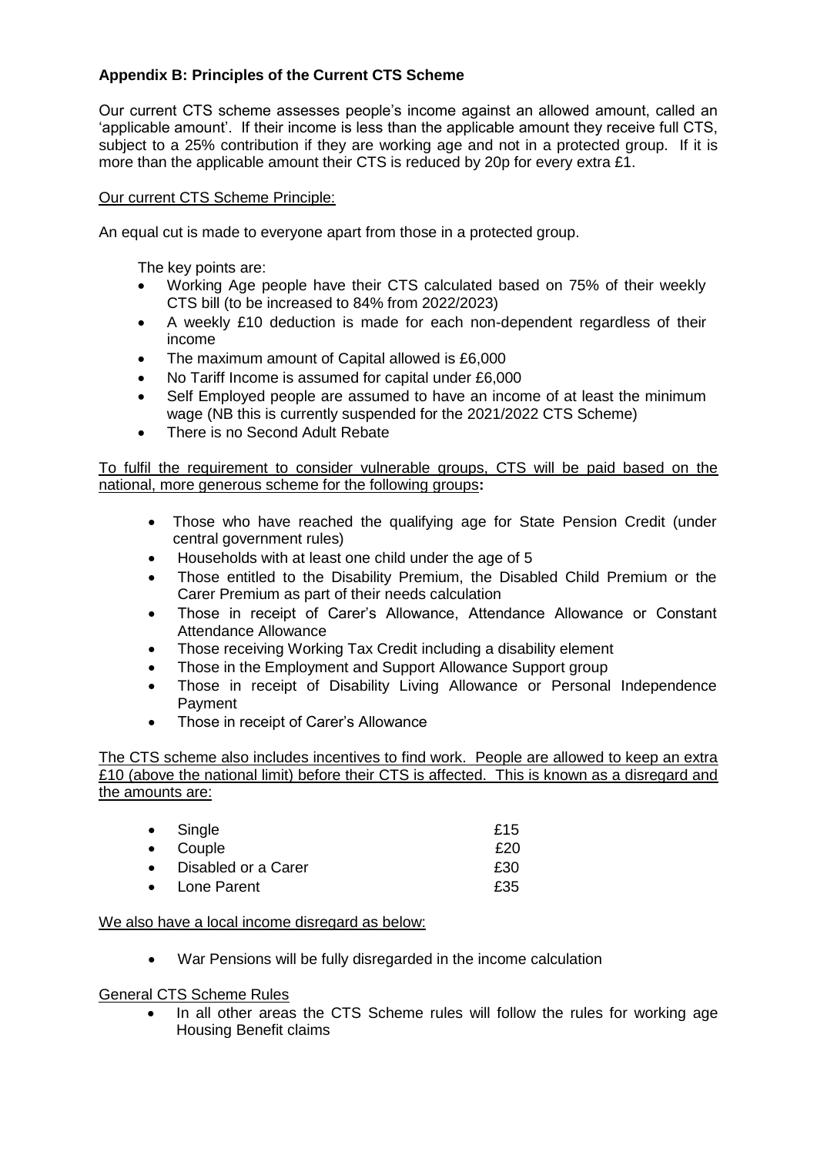# **Appendix B: Principles of the Current CTS Scheme**

Our current CTS scheme assesses people's income against an allowed amount, called an 'applicable amount'. If their income is less than the applicable amount they receive full CTS, subject to a 25% contribution if they are working age and not in a protected group. If it is more than the applicable amount their CTS is reduced by 20p for every extra £1.

## Our current CTS Scheme Principle:

An equal cut is made to everyone apart from those in a protected group.

The key points are:

- Working Age people have their CTS calculated based on 75% of their weekly CTS bill (to be increased to 84% from 2022/2023)
- A weekly £10 deduction is made for each non-dependent regardless of their income
- The maximum amount of Capital allowed is £6,000
- No Tariff Income is assumed for capital under £6,000
- Self Employed people are assumed to have an income of at least the minimum wage (NB this is currently suspended for the 2021/2022 CTS Scheme)
- There is no Second Adult Rebate

To fulfil the requirement to consider vulnerable groups, CTS will be paid based on the national, more generous scheme for the following groups**:** 

- Those who have reached the qualifying age for State Pension Credit (under central government rules)
- Households with at least one child under the age of 5
- Those entitled to the Disability Premium, the Disabled Child Premium or the Carer Premium as part of their needs calculation
- Those in receipt of Carer's Allowance, Attendance Allowance or Constant Attendance Allowance
- Those receiving Working Tax Credit including a disability element
- Those in the Employment and Support Allowance Support group
- Those in receipt of Disability Living Allowance or Personal Independence Payment
- Those in receipt of Carer's Allowance

The CTS scheme also includes incentives to find work. People are allowed to keep an extra £10 (above the national limit) before their CTS is affected. This is known as a disregard and the amounts are:

| • Single              | £15 |
|-----------------------|-----|
| • Couple              | £20 |
| • Disabled or a Carer | £30 |
| • Lone Parent         | £35 |

#### We also have a local income disregard as below:

War Pensions will be fully disregarded in the income calculation

General CTS Scheme Rules

 In all other areas the CTS Scheme rules will follow the rules for working age Housing Benefit claims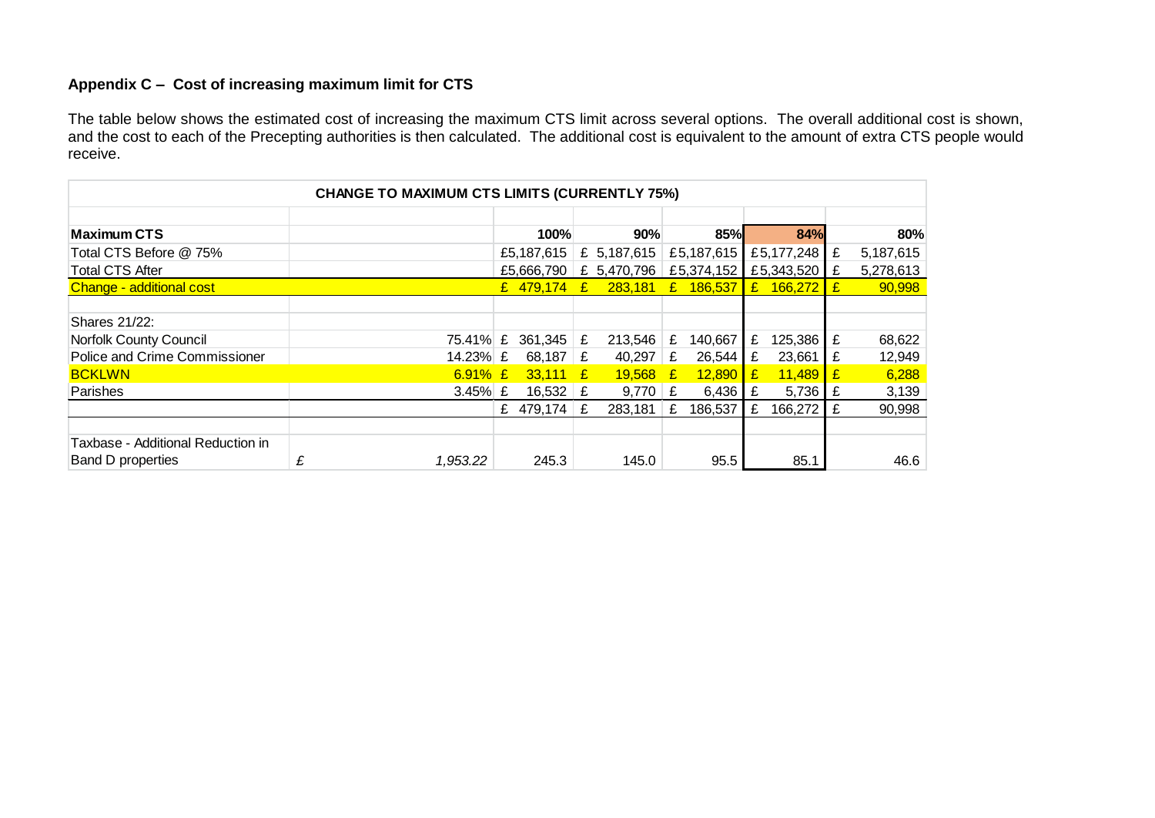# **Appendix C – Cost of increasing maximum limit for CTS**

The table below shows the estimated cost of increasing the maximum CTS limit across several options. The overall additional cost is shown, and the cost to each of the Precepting authorities is then calculated. The additional cost is equivalent to the amount of extra CTS people would receive.

| <b>CHANGE TO MAXIMUM CTS LIMITS (CURRENTLY 75%)</b> |   |            |  |               |  |                          |  |            |              |                |    |           |
|-----------------------------------------------------|---|------------|--|---------------|--|--------------------------|--|------------|--------------|----------------|----|-----------|
|                                                     |   |            |  |               |  |                          |  |            |              |                |    |           |
| <b>Maximum CTS</b>                                  |   |            |  | 100%          |  | 90%                      |  | <b>85%</b> |              | 84%            |    | 80%       |
| Total CTS Before @ 75%                              |   |            |  | £5,187,615    |  | £ $5,187,615$            |  | £5,187,615 |              | £5,177,248   £ |    | 5,187,615 |
| <b>Total CTS After</b>                              |   |            |  | £5.666.790    |  | £ 5,470,796   £5,374,152 |  |            |              | £5,343,520 £   |    | 5,278,613 |
| Change - additional cost                            |   |            |  | £ $479,174$ £ |  | 283,181 £ 186,537        |  |            | $\mathbf{f}$ | $166,272$ £    |    | 90,998    |
|                                                     |   |            |  |               |  |                          |  |            |              |                |    |           |
| Shares 21/22:                                       |   |            |  |               |  |                          |  |            |              |                |    |           |
| <b>Norfolk County Council</b>                       |   | 75.41% £   |  | 361,345 $E$   |  | $213,546$ £              |  | 140,667    | £            | $125,386$ £    |    | 68,622    |
| Police and Crime Commissioner                       |   | 14.23% £   |  | 68,187 $E$    |  | 40,297 $E$               |  | 26,544     | £            | 23,661         | Ι£ | 12,949    |
| <b>BCKLWN</b>                                       |   | $6.91\%$ £ |  | $33,111$ £    |  | $19,568$ £               |  | 12,890     | I£.          | $11,489$ $E$   |    | 6,288     |
| Parishes                                            |   | 3.45% $E$  |  | 16,532 $E$    |  | $9,770$ £                |  | 6,436      | Ι£           | 5,736 $E$      |    | 3,139     |
|                                                     |   |            |  | £ 479,174 $E$ |  | $283,181$ £              |  | 186,537    | £            | 166,272        |    | 90,998    |
|                                                     |   |            |  |               |  |                          |  |            |              |                |    |           |
| Taxbase - Additional Reduction in                   |   |            |  |               |  |                          |  |            |              |                |    |           |
| Band D properties                                   | £ | 1,953.22   |  | 245.3         |  | 145.0                    |  | 95.5       |              | 85.1           |    | 46.6      |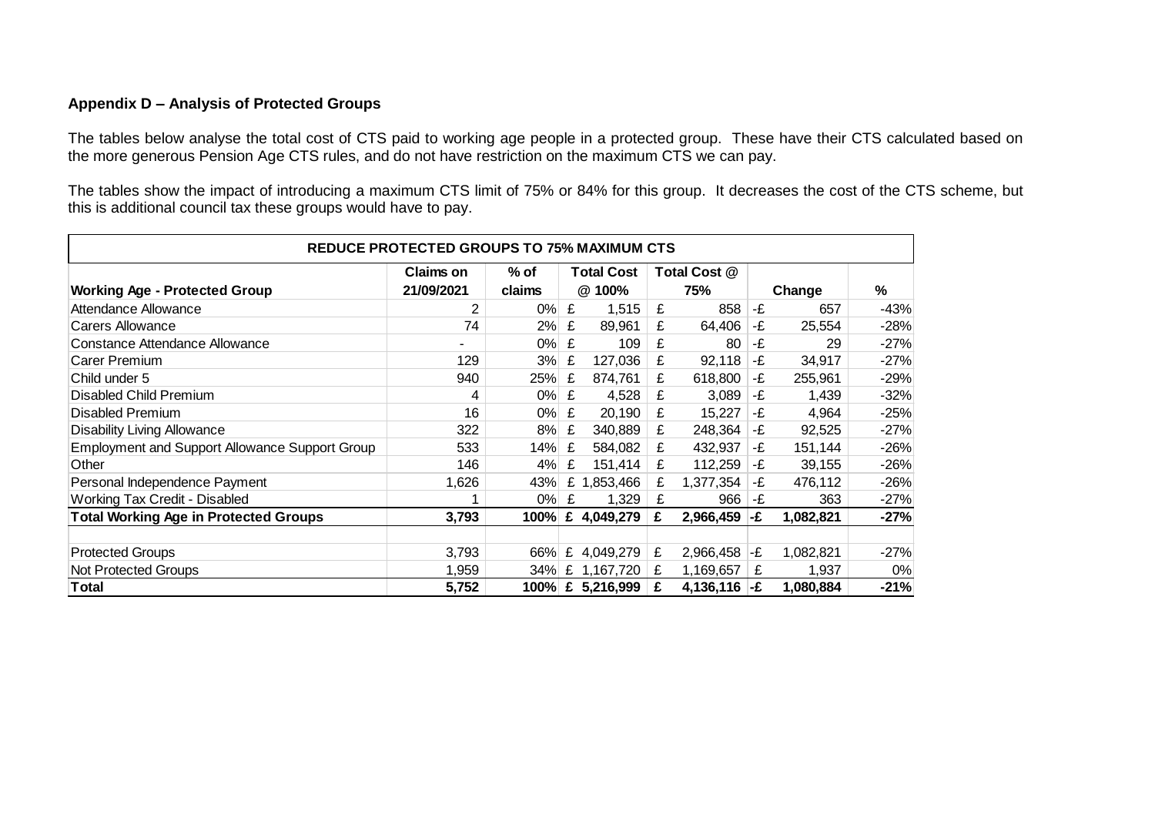## **Appendix D – Analysis of Protected Groups**

The tables below analyse the total cost of CTS paid to working age people in a protected group. These have their CTS calculated based on the more generous Pension Age CTS rules, and do not have restriction on the maximum CTS we can pay.

The tables show the impact of introducing a maximum CTS limit of 75% or 84% for this group. It decreases the cost of the CTS scheme, but this is additional council tax these groups would have to pay.

| <b>REDUCE PROTECTED GROUPS TO 75% MAXIMUM CTS</b>     |            |        |   |                   |              |                |        |           |        |  |
|-------------------------------------------------------|------------|--------|---|-------------------|--------------|----------------|--------|-----------|--------|--|
|                                                       | Claims on  | % of   |   | <b>Total Cost</b> | Total Cost @ |                |        |           |        |  |
| <b>Working Age - Protected Group</b>                  | 21/09/2021 | claims |   | @ 100%            |              | 75%            | Change |           | %      |  |
| Attendance Allowance                                  | 2          | $0\%$  | £ | 1,515             | £            | 858            | -£     | 657       | $-43%$ |  |
| <b>Carers Allowance</b>                               | 74         | 2%     | £ | 89,961            | £            | 64,406         | -£     | 25,554    | $-28%$ |  |
| Constance Attendance Allowance                        | ۰          | $0\%$  | £ | 109               | £            | 80             | -£     | 29        | $-27%$ |  |
| Carer Premium                                         | 129        | 3%     | £ | 127,036           | £            | 92,118         | -£     | 34,917    | $-27%$ |  |
| Child under 5                                         | 940        | 25%    | £ | 874,761           | £            | 618,800        | -£     | 255,961   | $-29%$ |  |
| Disabled Child Premium                                | 4          | $0\%$  | £ | 4,528             | £            | 3,089          | -£     | 1,439     | $-32%$ |  |
| <b>Disabled Premium</b>                               | 16         | $0\%$  | £ | 20,190            | £            | 15,227         | -£     | 4,964     | $-25%$ |  |
| <b>Disability Living Allowance</b>                    | 322        | 8%     | £ | 340,889           | £            | 248,364        | -£     | 92,525    | $-27%$ |  |
| <b>Employment and Support Allowance Support Group</b> | 533        | 14%    | £ | 584,082           | £            | 432,937        | -£     | 151,144   | $-26%$ |  |
| Other                                                 | 146        | 4%     | £ | 151,414           | £            | 112,259        | -£     | 39,155    | $-26%$ |  |
| Personal Independence Payment                         | 1,626      | 43%    | £ | 1,853,466         | £            | 1,377,354      | -£     | 476,112   | $-26%$ |  |
| Working Tax Credit - Disabled                         | 1          | $0\%$  | £ | 1,329             | £            | 966            | -£     | 363       | $-27%$ |  |
| <b>Total Working Age in Protected Groups</b>          | 3,793      | 100%   |   | £ 4,049,279       | £            | 2,966,459      | l-£    | 1,082,821 | $-27%$ |  |
|                                                       |            |        |   |                   |              |                |        |           |        |  |
| <b>Protected Groups</b>                               | 3,793      | 66%    |   | £ 4,049,279       | £            | 2,966,458      | l-£    | 1,082,821 | $-27%$ |  |
| Not Protected Groups                                  | 1,959      |        |   | 34% £ 1,167,720   | £            | 1,169,657      | £      | 1,937     | 0%     |  |
| <b>Total</b>                                          | 5,752      |        |   | 100% £ 5,216,999  | £            | 4,136,116 $-E$ |        | 1,080,884 | $-21%$ |  |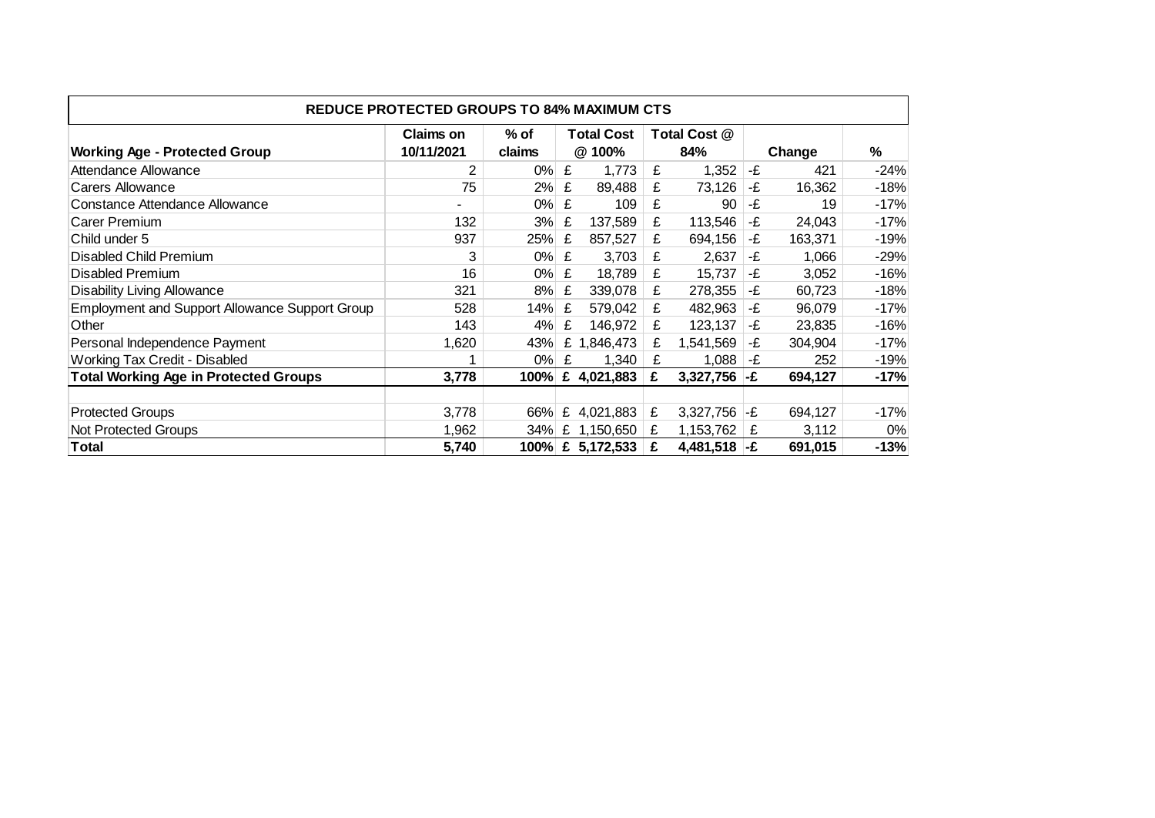| <b>REDUCE PROTECTED GROUPS TO 84% MAXIMUM CTS</b>     |                |        |                   |                  |   |                |        |         |        |  |  |
|-------------------------------------------------------|----------------|--------|-------------------|------------------|---|----------------|--------|---------|--------|--|--|
|                                                       | Claims on      | % of   | <b>Total Cost</b> |                  |   | Total Cost @   |        |         |        |  |  |
| <b>Working Age - Protected Group</b>                  | 10/11/2021     | claims |                   | @ 100%           |   | 84%            | Change |         | %      |  |  |
| Attendance Allowance                                  | $\overline{2}$ | 0%     | £                 | 1,773            | £ | 1,352          | -£     | 421     | $-24%$ |  |  |
| Carers Allowance                                      | 75             | 2%     | £                 | 89,488           | £ | 73,126         | -£     | 16,362  | $-18%$ |  |  |
| Constance Attendance Allowance                        |                | $0\%$  | £                 | 109              | £ | 90             | -£     | 19      | $-17%$ |  |  |
| Carer Premium                                         | 132            | 3%     | £                 | 137,589          | £ | 113,546        | -£     | 24,043  | $-17%$ |  |  |
| Child under 5                                         | 937            | 25%    | £                 | 857,527          | £ | 694,156        | -£     | 163,371 | $-19%$ |  |  |
| Disabled Child Premium                                | 3              | 0%     | £                 | 3,703            | £ | 2,637          | -£     | 1,066   | $-29%$ |  |  |
| <b>Disabled Premium</b>                               | 16             | 0%     | £                 | 18,789           | £ | 15,737         | -£     | 3,052   | $-16%$ |  |  |
| <b>Disability Living Allowance</b>                    | 321            | 8%     | £                 | 339,078          | £ | 278,355        | -£     | 60,723  | $-18%$ |  |  |
| <b>Employment and Support Allowance Support Group</b> | 528            | 14%    | £                 | 579,042          | £ | 482,963        | -£     | 96,079  | $-17%$ |  |  |
| Other                                                 | 143            | 4%     | £                 | 146,972          | £ | 123,137        | -£     | 23,835  | $-16%$ |  |  |
| Personal Independence Payment                         | 1,620          | 43%    |                   | £ 1,846,473      | £ | 1,541,569      | -£     | 304,904 | $-17%$ |  |  |
| Working Tax Credit - Disabled                         | 1              | 0%     | £                 | 1,340            | £ | 1,088          | -£     | 252     | $-19%$ |  |  |
| <b>Total Working Age in Protected Groups</b>          | 3,778          | 100%   | £                 | 4,021,883        | £ | 3,327,756      | l-£    | 694,127 | $-17%$ |  |  |
|                                                       |                |        |                   |                  |   |                |        |         |        |  |  |
| <b>Protected Groups</b>                               | 3,778          | 66%    |                   | £ 4,021,883      | £ | 3,327,756      | l-£    | 694,127 | $-17%$ |  |  |
| Not Protected Groups                                  | 1,962          |        |                   | 34% £ 1,150,650  | £ | 1,153,762      | £      | 3,112   | 0%     |  |  |
| Total                                                 | 5,740          |        |                   | 100% £ 5,172,533 | £ | 4,481,518 $-E$ |        | 691,015 | $-13%$ |  |  |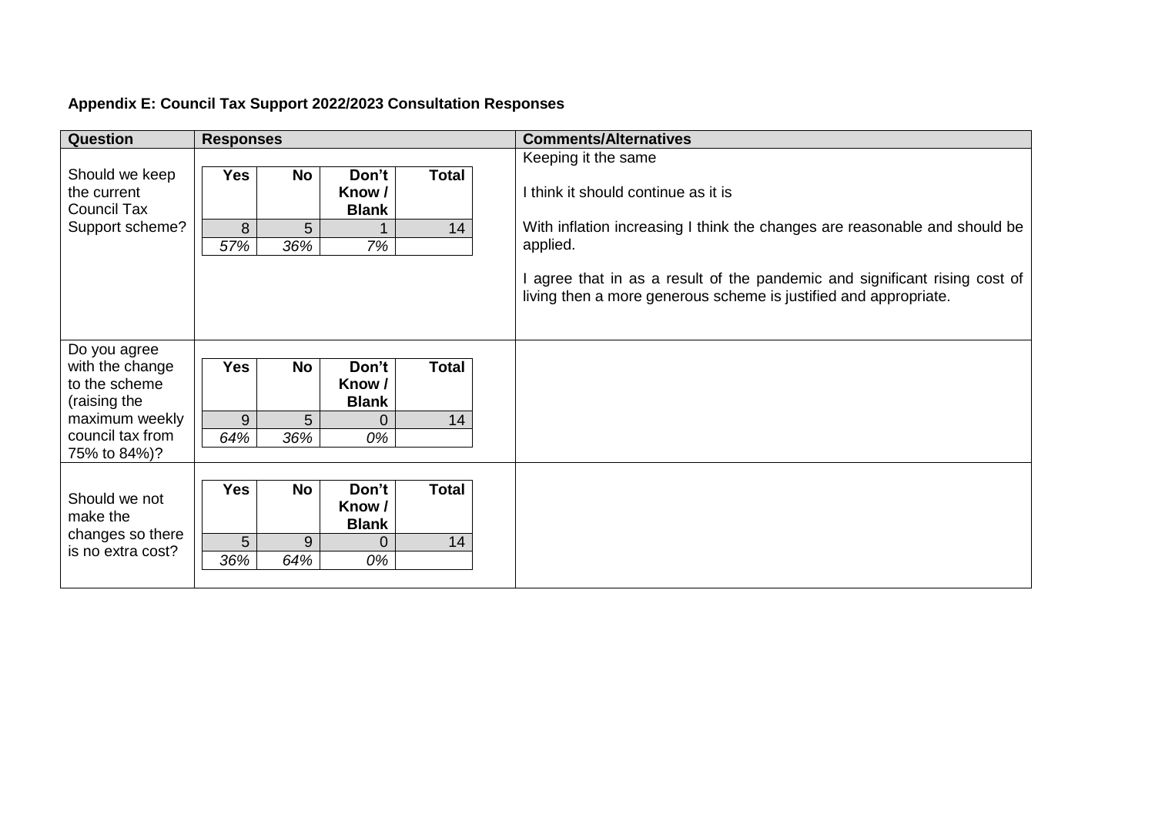# **Appendix E: Council Tax Support 2022/2023 Consultation Responses**

| <b>Question</b>    | <b>Responses</b> |           |              |       | <b>Comments/Alternatives</b>                                               |
|--------------------|------------------|-----------|--------------|-------|----------------------------------------------------------------------------|
|                    |                  |           |              |       | Keeping it the same                                                        |
| Should we keep     | <b>Yes</b>       | <b>No</b> | Don't        | Total |                                                                            |
| the current        |                  |           | Know /       |       | I think it should continue as it is                                        |
| <b>Council Tax</b> |                  |           | <b>Blank</b> |       |                                                                            |
| Support scheme?    | 8                | 5         |              | 14    | With inflation increasing I think the changes are reasonable and should be |
|                    | 57%              | 36%       | 7%           |       | applied.                                                                   |
|                    |                  |           |              |       |                                                                            |
|                    |                  |           |              |       | agree that in as a result of the pandemic and significant rising cost of   |
|                    |                  |           |              |       | living then a more generous scheme is justified and appropriate.           |
|                    |                  |           |              |       |                                                                            |
|                    |                  |           |              |       |                                                                            |
| Do you agree       |                  |           |              |       |                                                                            |
| with the change    | <b>Yes</b>       | <b>No</b> | Don't        | Total |                                                                            |
| to the scheme      |                  |           | Know /       |       |                                                                            |
| (raising the       |                  |           | <b>Blank</b> |       |                                                                            |
| maximum weekly     | 9                | 5         | 0            | 14    |                                                                            |
| council tax from   | 64%              | 36%       | 0%           |       |                                                                            |
| 75% to 84%)?       |                  |           |              |       |                                                                            |
|                    |                  |           |              |       |                                                                            |
| Should we not      | <b>Yes</b>       | <b>No</b> | Don't        | Total |                                                                            |
| make the           |                  |           | Know /       |       |                                                                            |
| changes so there   |                  |           | <b>Blank</b> |       |                                                                            |
| is no extra cost?  | 5                | 9         | 0            | 14    |                                                                            |
|                    | 36%              | 64%       | 0%           |       |                                                                            |
|                    |                  |           |              |       |                                                                            |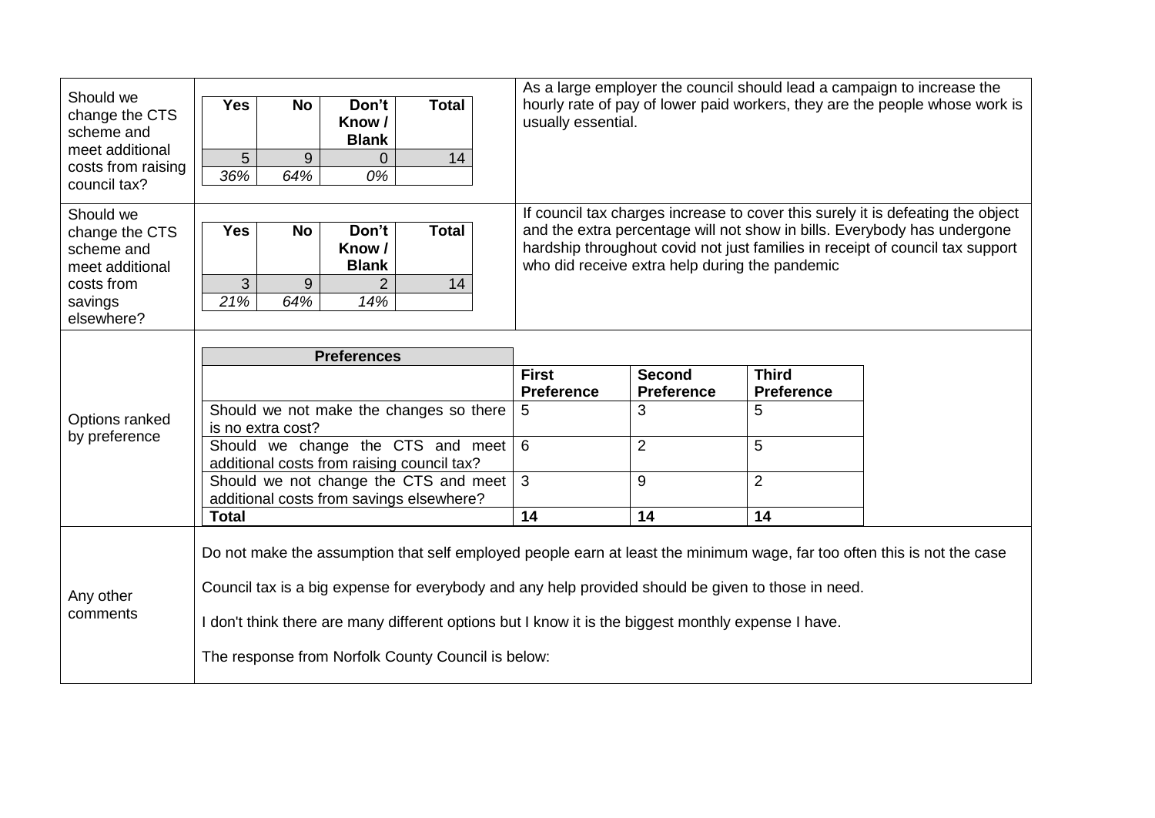| Should we<br>change the CTS<br>scheme and<br>meet additional<br>costs from raising |                                                                                                                                                                                                                                                                                                                                                                                            |           |                                 |              |                                                                                                   |                                                                                 |                                   | As a large employer the council should lead a campaign to increase the |  |
|------------------------------------------------------------------------------------|--------------------------------------------------------------------------------------------------------------------------------------------------------------------------------------------------------------------------------------------------------------------------------------------------------------------------------------------------------------------------------------------|-----------|---------------------------------|--------------|---------------------------------------------------------------------------------------------------|---------------------------------------------------------------------------------|-----------------------------------|------------------------------------------------------------------------|--|
|                                                                                    | <b>Yes</b>                                                                                                                                                                                                                                                                                                                                                                                 | <b>No</b> | Don't<br>Know /<br><b>Blank</b> | <b>Total</b> | hourly rate of pay of lower paid workers, they are the people whose work is<br>usually essential. |                                                                                 |                                   |                                                                        |  |
|                                                                                    | $\overline{5}$                                                                                                                                                                                                                                                                                                                                                                             | 9         | 0                               | 14           |                                                                                                   |                                                                                 |                                   |                                                                        |  |
| council tax?                                                                       | 36%                                                                                                                                                                                                                                                                                                                                                                                        | 64%       | 0%                              |              |                                                                                                   |                                                                                 |                                   |                                                                        |  |
| Should we                                                                          |                                                                                                                                                                                                                                                                                                                                                                                            |           |                                 |              |                                                                                                   | If council tax charges increase to cover this surely it is defeating the object |                                   |                                                                        |  |
| change the CTS                                                                     | Don't<br><b>Total</b><br><b>Yes</b><br><b>No</b>                                                                                                                                                                                                                                                                                                                                           |           |                                 |              |                                                                                                   | and the extra percentage will not show in bills. Everybody has undergone        |                                   |                                                                        |  |
| scheme and                                                                         |                                                                                                                                                                                                                                                                                                                                                                                            |           | Know /                          |              | hardship throughout covid not just families in receipt of council tax support                     |                                                                                 |                                   |                                                                        |  |
| meet additional                                                                    | who did receive extra help during the pandemic<br><b>Blank</b>                                                                                                                                                                                                                                                                                                                             |           |                                 |              |                                                                                                   |                                                                                 |                                   |                                                                        |  |
| costs from                                                                         | 3                                                                                                                                                                                                                                                                                                                                                                                          | 9         | $\overline{2}$                  | 14           |                                                                                                   |                                                                                 |                                   |                                                                        |  |
| savings                                                                            | 21%                                                                                                                                                                                                                                                                                                                                                                                        | 64%       | 14%                             |              |                                                                                                   |                                                                                 |                                   |                                                                        |  |
| elsewhere?                                                                         |                                                                                                                                                                                                                                                                                                                                                                                            |           |                                 |              |                                                                                                   |                                                                                 |                                   |                                                                        |  |
| Options ranked<br>by preference                                                    | <b>Preferences</b>                                                                                                                                                                                                                                                                                                                                                                         |           |                                 |              |                                                                                                   |                                                                                 |                                   |                                                                        |  |
|                                                                                    |                                                                                                                                                                                                                                                                                                                                                                                            |           |                                 |              | <b>First</b><br><b>Preference</b>                                                                 | <b>Second</b><br><b>Preference</b>                                              | <b>Third</b><br><b>Preference</b> |                                                                        |  |
|                                                                                    | Should we not make the changes so there<br>is no extra cost?                                                                                                                                                                                                                                                                                                                               |           |                                 |              | 5                                                                                                 | 3                                                                               | 5                                 |                                                                        |  |
|                                                                                    | Should we change the CTS and meet<br>additional costs from raising council tax?                                                                                                                                                                                                                                                                                                            |           |                                 |              | 6                                                                                                 | $\overline{2}$                                                                  | 5                                 |                                                                        |  |
|                                                                                    | Should we not change the CTS and meet<br>additional costs from savings elsewhere?                                                                                                                                                                                                                                                                                                          |           |                                 |              | $\mathbf{3}$                                                                                      | 9                                                                               | $\overline{2}$                    |                                                                        |  |
|                                                                                    | <b>Total</b>                                                                                                                                                                                                                                                                                                                                                                               |           |                                 |              | 14                                                                                                | 14                                                                              | 14                                |                                                                        |  |
| Any other<br>comments                                                              | Do not make the assumption that self employed people earn at least the minimum wage, far too often this is not the case<br>Council tax is a big expense for everybody and any help provided should be given to those in need.<br>I don't think there are many different options but I know it is the biggest monthly expense I have.<br>The response from Norfolk County Council is below: |           |                                 |              |                                                                                                   |                                                                                 |                                   |                                                                        |  |